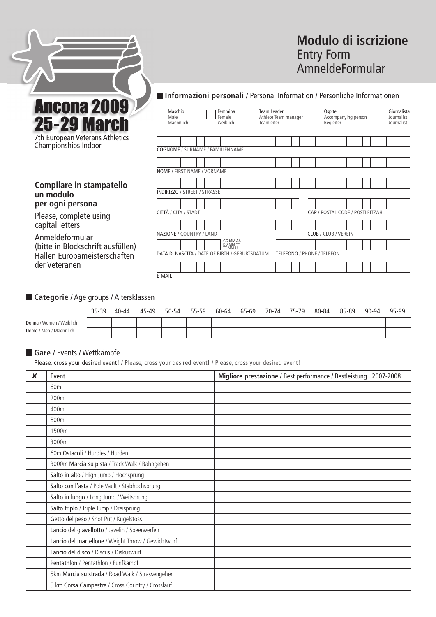

**Compilare in stampatello** 

**un modulo** 

capital letters Anmeldeformular

der veteranen

**per ogni persona** Please, complete using

Championships Indoor

# **Modulo di iscrizione** Entry Form AmneldeFormular

## **Informazioni personali** / Personal Information / Persönliche Informationen

| Maschio<br>Male<br>Maennlich | Femmina<br>Team Leader<br>Female<br>Weiblich<br>Teamleiter | Athlete Team manager | Ospite<br>Accompanying person<br>Begleiter | Giornalista<br>Journalist<br>Journalist |  |  |  |  |  |
|------------------------------|------------------------------------------------------------|----------------------|--------------------------------------------|-----------------------------------------|--|--|--|--|--|
|                              | COGNOME / SURNAME / FAMILIENNAME                           |                      |                                            |                                         |  |  |  |  |  |
|                              |                                                            |                      |                                            |                                         |  |  |  |  |  |
|                              | NOME / FIRST NAME / VORNAME                                |                      |                                            |                                         |  |  |  |  |  |
|                              |                                                            |                      |                                            |                                         |  |  |  |  |  |
|                              | <b>INDIRIZZO / STREET / STRASSE</b>                        |                      |                                            |                                         |  |  |  |  |  |
|                              |                                                            |                      |                                            |                                         |  |  |  |  |  |
|                              | CITTÀ / CITY / STADT<br>CAP / POSTAL CODE / POSTLEITZAHL   |                      |                                            |                                         |  |  |  |  |  |
|                              |                                                            |                      |                                            |                                         |  |  |  |  |  |
| NAZIONE / COUNTRY / LAND     |                                                            |                      | <b>CLUB / CLUB / VEREIN</b>                |                                         |  |  |  |  |  |
|                              | <b>GG MM AA</b><br>DD MM YY<br>TT MM JJ                    |                      |                                            |                                         |  |  |  |  |  |
|                              | DATA DI NASCITA / DATE OF BIRTH / GEBURTSDATUM             |                      | <b>TELEFONO / PHONE / TELEFON</b>          |                                         |  |  |  |  |  |
|                              |                                                            |                      |                                            |                                         |  |  |  |  |  |
| E-MAIL                       |                                                            |                      |                                            |                                         |  |  |  |  |  |

**Categorie** / Age groups / Altersklassen

(bitte in Blockschrift ausfüllen) Hallen Europameisterschaften

|                               | 35-39 | 40-44 | 45-49 | 50-54 | 55-59 | 60-64 | 65-69 | 70-74 | 75-79 | 80-84 | 85-89 | 90-94 | 95-99 |
|-------------------------------|-------|-------|-------|-------|-------|-------|-------|-------|-------|-------|-------|-------|-------|
| Donna / Women / Weiblich      |       |       |       |       |       |       |       |       |       |       |       |       |       |
| <b>Uomo</b> / Men / Maennlich |       |       |       |       |       |       |       |       |       |       |       |       |       |

#### **Gare** / Events / Wettkämpfe

Please, cross your desired event! / Please, cross your desired event! / Please, cross your desired event!

| X | Event                                              | Migliore prestazione / Best performance / Bestleistung 2007-2008 |
|---|----------------------------------------------------|------------------------------------------------------------------|
|   | 60 <sub>m</sub>                                    |                                                                  |
|   | 200 <sub>m</sub>                                   |                                                                  |
|   | 400m                                               |                                                                  |
|   | 800m                                               |                                                                  |
|   | 1500m                                              |                                                                  |
|   | 3000m                                              |                                                                  |
|   | 60m Ostacoli / Hurdles / Hurden                    |                                                                  |
|   | 3000m Marcia su pista / Track Walk / Bahngehen     |                                                                  |
|   | Salto in alto / High Jump / Hochsprung             |                                                                  |
|   | Salto con l'asta / Pole Vault / Stabhochsprung     |                                                                  |
|   | Salto in lungo / Long Jump / Weitsprung            |                                                                  |
|   | Salto triplo / Triple Jump / Dreisprung            |                                                                  |
|   | Getto del peso / Shot Put / Kugelstoss             |                                                                  |
|   | Lancio del giavellotto / Javelin / Speerwerfen     |                                                                  |
|   | Lancio del martellone / Weight Throw / Gewichtwurf |                                                                  |
|   | Lancio del disco / Discus / Diskuswurf             |                                                                  |
|   | Pentathlon / Pentathlon / Funfkampf                |                                                                  |
|   | 5km Marcia su strada / Road Walk / Strassengehen   |                                                                  |
|   | 5 km Corsa Campestre / Cross Country / Crosslauf   |                                                                  |